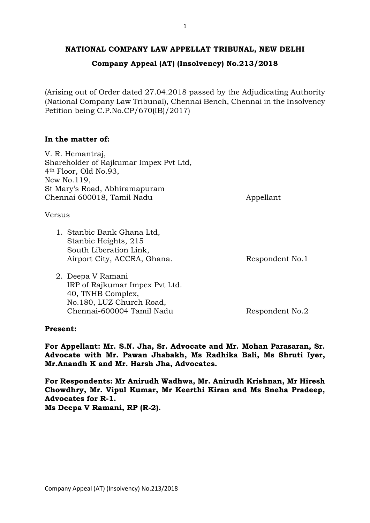## **NATIONAL COMPANY LAW APPELLAT TRIBUNAL, NEW DELHI**

# **Company Appeal (AT) (Insolvency) No.213/2018**

(Arising out of Order dated 27.04.2018 passed by the Adjudicating Authority (National Company Law Tribunal), Chennai Bench, Chennai in the Insolvency Petition being C.P.No.CP/670(IB)/2017)

## **In the matter of:**

V. R. Hemantraj, Shareholder of Rajkumar Impex Pvt Ltd, 4th Floor, Old No.93, New No.119, St Mary's Road, Abhiramapuram Chennai 600018, Tamil Nadu Appellant

Versus

1. Stanbic Bank Ghana Ltd, Stanbic Heights, 215 South Liberation Link, Airport City, ACCRA, Ghana. Respondent No.1

2. Deepa V Ramani IRP of Rajkumar Impex Pvt Ltd. 40, TNHB Complex, No.180, LUZ Church Road,

Chennai-600004 Tamil Nadu Respondent No.2

## **Present:**

**For Appellant: Mr. S.N. Jha, Sr. Advocate and Mr. Mohan Parasaran, Sr. Advocate with Mr. Pawan Jhabakh, Ms Radhika Bali, Ms Shruti Iyer, Mr.Anandh K and Mr. Harsh Jha, Advocates.**

**For Respondents: Mr Anirudh Wadhwa, Mr. Anirudh Krishnan, Mr Hiresh Chowdhry, Mr. Vipul Kumar, Mr Keerthi Kiran and Ms Sneha Pradeep, Advocates for R-1. Ms Deepa V Ramani, RP (R-2).**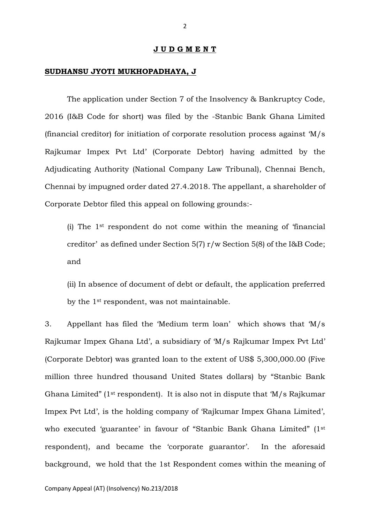#### **J U D G M E N T**

#### **SUDHANSU JYOTI MUKHOPADHAYA, J**

The application under Section 7 of the Insolvency & Bankruptcy Code, 2016 (I&B Code for short) was filed by the -Stanbic Bank Ghana Limited (financial creditor) for initiation of corporate resolution process against 'M/s Rajkumar Impex Pvt Ltd' (Corporate Debtor) having admitted by the Adjudicating Authority (National Company Law Tribunal), Chennai Bench, Chennai by impugned order dated 27.4.2018. The appellant, a shareholder of Corporate Debtor filed this appeal on following grounds:-

(i) The 1st respondent do not come within the meaning of 'financial creditor' as defined under Section 5(7) r/w Section 5(8) of the I&B Code; and

(ii) In absence of document of debt or default, the application preferred by the 1st respondent, was not maintainable.

3. Appellant has filed the 'Medium term loan' which shows that 'M/s Rajkumar Impex Ghana Ltd', a subsidiary of 'M/s Rajkumar Impex Pvt Ltd' (Corporate Debtor) was granted loan to the extent of US\$ 5,300,000.00 (Five million three hundred thousand United States dollars) by "Stanbic Bank Ghana Limited" (1st respondent). It is also not in dispute that 'M/s Rajkumar Impex Pvt Ltd', is the holding company of 'Rajkumar Impex Ghana Limited', who executed 'guarantee' in favour of "Stanbic Bank Ghana Limited" (1st respondent), and became the 'corporate guarantor'. In the aforesaid background, we hold that the 1st Respondent comes within the meaning of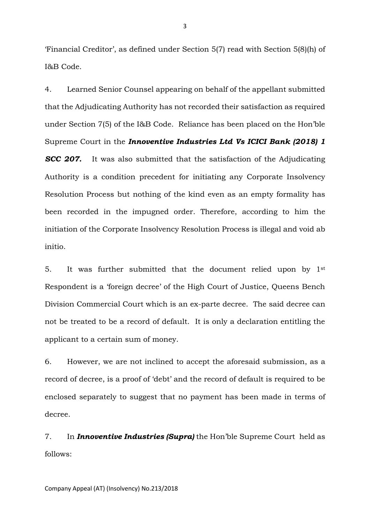'Financial Creditor', as defined under Section 5(7) read with Section 5(8)(h) of I&B Code.

4. Learned Senior Counsel appearing on behalf of the appellant submitted that the Adjudicating Authority has not recorded their satisfaction as required under Section 7(5) of the I&B Code. Reliance has been placed on the Hon'ble Supreme Court in the *Innoventive Industries Ltd Vs ICICI Bank (2018) 1*  **SCC 207.** It was also submitted that the satisfaction of the Adjudicating Authority is a condition precedent for initiating any Corporate Insolvency Resolution Process but nothing of the kind even as an empty formality has been recorded in the impugned order. Therefore, according to him the initiation of the Corporate Insolvency Resolution Process is illegal and void ab initio.

5. It was further submitted that the document relied upon by 1st Respondent is a 'foreign decree' of the High Court of Justice, Queens Bench Division Commercial Court which is an ex-parte decree. The said decree can not be treated to be a record of default. It is only a declaration entitling the applicant to a certain sum of money.

6. However, we are not inclined to accept the aforesaid submission, as a record of decree, is a proof of 'debt' and the record of default is required to be enclosed separately to suggest that no payment has been made in terms of decree.

7. In *Innoventive Industries (Supra)* the Hon'ble Supreme Court held as follows:

3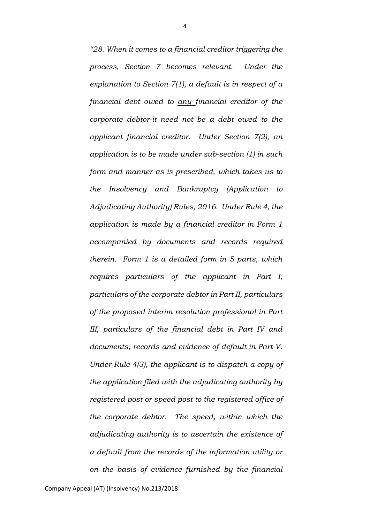*"28. When it comes to a financial creditor triggering the process, Section 7 becomes relevant. Under the explanation to Section 7(1), a default is in respect of a financial debt owed to any financial creditor of the corporate debtor-it need not be a debt owed to the applicant financial creditor. Under Section 7(2), an application is to be made under sub-section (1) in such form and manner as is prescribed, which takes us to the Insolvency and Bankruptcy (Application to Adjudicating Authority) Rules, 2016. Under Rule 4, the application is made by a financial creditor in Form 1 accompanied by documents and records required therein. Form 1 is a detailed form in 5 parts, which requires particulars of the applicant in Part I, particulars of the corporate debtor in Part II, particulars of the proposed interim resolution professional in Part III, particulars of the financial debt in Part IV and documents, records and evidence of default in Part V. Under Rule 4(3), the applicant is to dispatch a copy of the application filed with the adjudicating authority by registered post or speed post to the registered office of the corporate debtor. The speed, within which the adjudicating authority is to ascertain the existence of a default from the records of the information utility or on the basis of evidence furnished by the financial*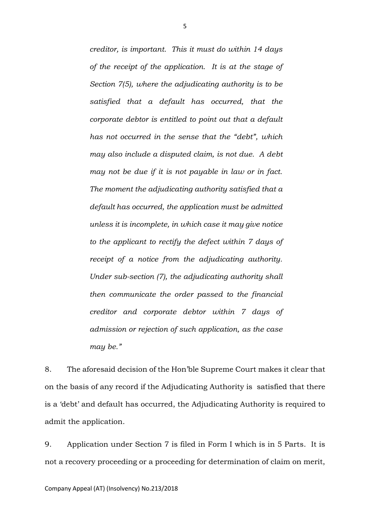*creditor, is important. This it must do within 14 days of the receipt of the application. It is at the stage of Section 7(5), where the adjudicating authority is to be satisfied that a default has occurred, that the corporate debtor is entitled to point out that a default has not occurred in the sense that the "debt", which may also include a disputed claim, is not due. A debt may not be due if it is not payable in law or in fact. The moment the adjudicating authority satisfied that a default has occurred, the application must be admitted unless it is incomplete, in which case it may give notice to the applicant to rectify the defect within 7 days of receipt of a notice from the adjudicating authority. Under sub-section (7), the adjudicating authority shall then communicate the order passed to the financial creditor and corporate debtor within 7 days of admission or rejection of such application, as the case may be."*

8. The aforesaid decision of the Hon'ble Supreme Court makes it clear that on the basis of any record if the Adjudicating Authority is satisfied that there is a 'debt' and default has occurred, the Adjudicating Authority is required to admit the application.

9. Application under Section 7 is filed in Form I which is in 5 Parts. It is not a recovery proceeding or a proceeding for determination of claim on merit,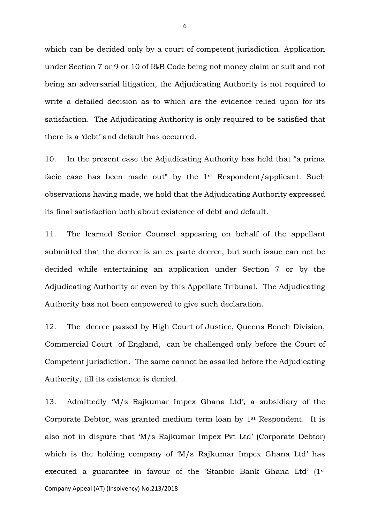which can be decided only by a court of competent jurisdiction. Application under Section 7 or 9 or 10 of I&B Code being not money claim or suit and not being an adversarial litigation, the Adjudicating Authority is not required to write a detailed decision as to which are the evidence relied upon for its satisfaction. The Adjudicating Authority is only required to be satisfied that there is a 'debt' and default has occurred.

10. In the present case the Adjudicating Authority has held that "a prima facie case has been made out" by the 1st Respondent/applicant. Such observations having made, we hold that the Adjudicating Authority expressed its final satisfaction both about existence of debt and default.

11. The learned Senior Counsel appearing on behalf of the appellant submitted that the decree is an ex parte decree, but such issue can not be decided while entertaining an application under Section 7 or by the Adjudicating Authority or even by this Appellate Tribunal. The Adjudicating Authority has not been empowered to give such declaration.

12. The decree passed by High Court of Justice, Queens Bench Division, Commercial Court of England, can be challenged only before the Court of Competent jurisdiction. The same cannot be assailed before the Adjudicating Authority, till its existence is denied.

Company Appeal (AT) (Insolvency) No.213/2018 13. Admittedly 'M/s Rajkumar Impex Ghana Ltd', a subsidiary of the Corporate Debtor, was granted medium term loan by 1st Respondent. It is also not in dispute that 'M/s Rajkumar Impex Pvt Ltd' (Corporate Debtor) which is the holding company of 'M/s Rajkumar Impex Ghana Ltd' has executed a guarantee in favour of the 'Stanbic Bank Ghana Ltd' (1st

6